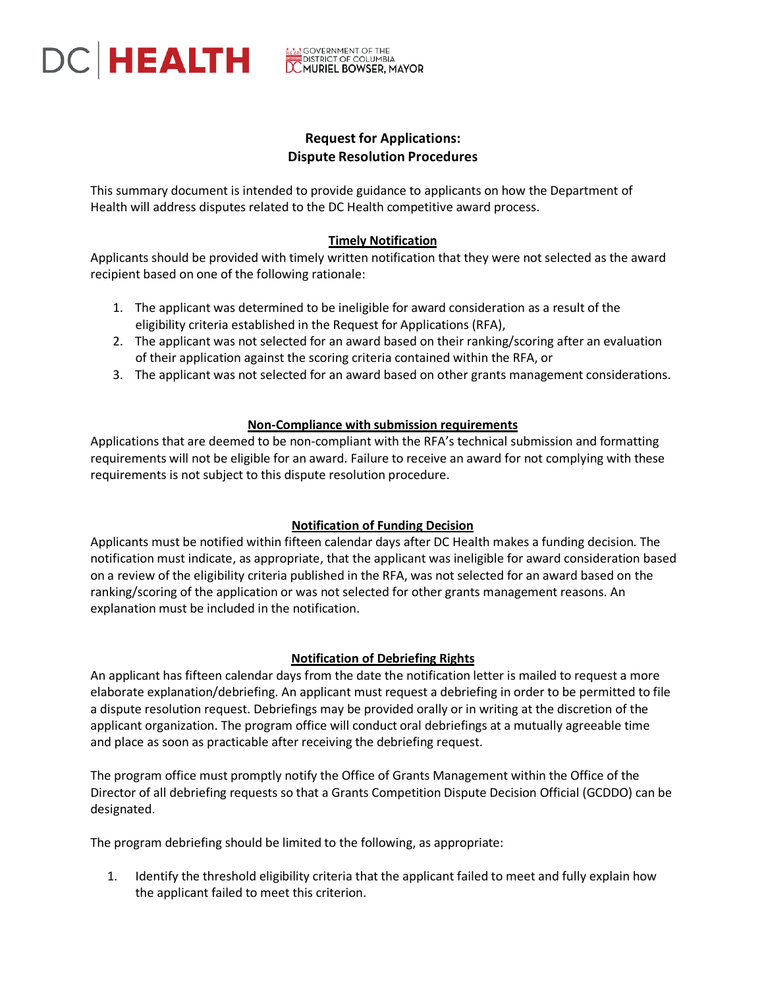# **DC HEALTH** BONERING THE ALTHUR BOWSER, MAYOR

# **Request for Applications: Dispute Resolution Procedures**

This summary document is intended to provide guidance to applicants on how the Department of Health will address disputes related to the DC Health competitive award process.

## **Timely Notification**

Applicants should be provided with timely written notification that they were not selected as the award recipient based on one of the following rationale:

- 1. The applicant was determined to be ineligible for award consideration as a result of the eligibility criteria established in the Request for Applications (RFA),
- 2. The applicant was not selected for an award based on their ranking/scoring after an evaluation of their application against the scoring criteria contained within the RFA, or
- 3. The applicant was not selected for an award based on other grants management considerations.

#### **Non-Compliance with submission requirements**

Applications that are deemed to be non-compliant with the RFA's technical submission and formatting requirements will not be eligible for an award. Failure to receive an award for not complying with these requirements is not subject to this dispute resolution procedure.

#### **Notification of Funding Decision**

Applicants must be notified within fifteen calendar days after DC Health makes a funding decision. The notification must indicate, as appropriate, that the applicant was ineligible for award consideration based on a review of the eligibility criteria published in the RFA, was not selected for an award based on the ranking/scoring of the application or was not selected for other grants management reasons. An explanation must be included in the notification.

## **Notification of Debriefing Rights**

An applicant has fifteen calendar days from the date the notification letter is mailed to request a more elaborate explanation/debriefing. An applicant must request a debriefing in order to be permitted to file a dispute resolution request. Debriefings may be provided orally or in writing at the discretion of the applicant organization. The program office will conduct oral debriefings at a mutually agreeable time and place as soon as practicable after receiving the debriefing request.

The program office must promptly notify the Office of Grants Management within the Office of the Director of all debriefing requests so that a Grants Competition Dispute Decision Official (GCDDO) can be designated.

The program debriefing should be limited to the following, as appropriate:

1. Identify the threshold eligibility criteria that the applicant failed to meet and fully explain how the applicant failed to meet this criterion.